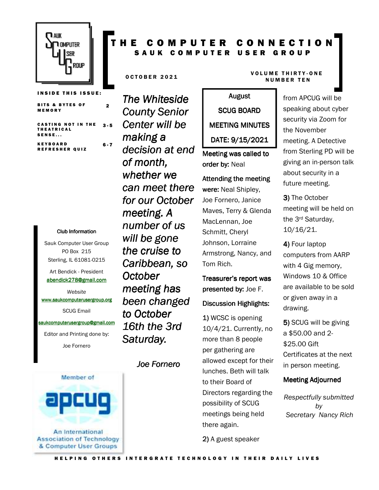

|        | <b>BITS &amp; BYTES OF</b> |  |
|--------|----------------------------|--|
| MEMORY |                            |  |

**CASTING NOT IN THE** T H E A T R I C A L  $S$  ENSE...  $3 - 5$ 

2

K E Y B O A R D REFRESHER QUIZ  $6 - 7$ 

#### Club Information Club Information

Sauk Computer User Group PO Box 215 Sterling, IL 61081-0215

Art Bendick - President abendick278@gmail.com

*Website*  www.saukcomputerusergroup.org SCUG Email

#### saukcomputerusergroup@gmail.com

Editor and Printing done by: Joe Fornero

*The Whiteside County Senior Center will be making a decision at end of month, whether we can meet there for our October meeting. A number of us will be gone the cruise to Caribbean, so October meeting has been changed to October 16th the 3rd Saturday.* 

*Joe Fornero* 

#### O C TO BER 2021 VOLUME THIRTY-ONE N U M B E R T E N

# August SCUG BOARD MEETING MINUTES DATE: 9/15/2021

T H E C O M P U T E R C O N N E C T I O N SAUK COMPUTER USER GROUP

> Meeting was called to order by: Neal

Attending the meeting were: Neal Shipley, Joe Fornero, Janice Maves, Terry & Glenda MacLennan, Joe Schmitt, Cheryl Johnson, Lorraine Armstrong, Nancy, and Tom Rich.

## Treasurer's report was presented by: Joe F. Discussion Highlights:

1) WCSC is opening 10/4/21. Currently, no more than 8 people per gathering are allowed except for their lunches. Beth will talk to their Board of Directors regarding the possibility of SCUG meetings being held there again.

2) A guest speaker

from APCUG will be speaking about cyber security via Zoom for the November meeting. A Detective from Sterling PD will be giving an in-person talk about security in a future meeting.

3) The October meeting will be held on the 3rd Saturday, 10/16/21.

4) Four laptop computers from AARP with 4 Gig memory, Windows 10 & Office are available to be sold or given away in a drawing.

5) SCUG will be giving a \$50.00 and 2- \$25.00 Gift Certificates at the next in person meeting.

### Meeting Adjourned

*Respectfully submitted by Secretary Nancy Rich* 

An International **Association of Technology** & Computer User Groups

Member of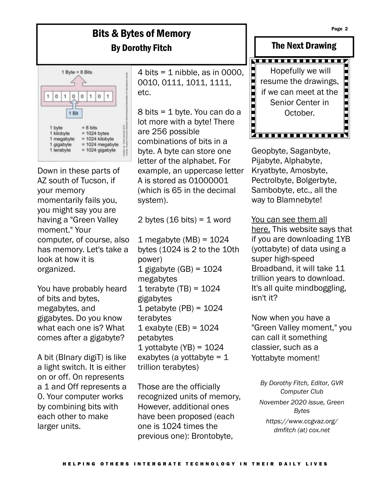## Bits & Bytes of Memory By Dorothy Fitch



Down in these parts of AZ south of Tucson, if your memory momentarily fails you, you might say you are having a "Green Valley moment." Your computer, of course, also has memory. Let's take a look at how it is organized.

You have probably heard of bits and bytes, megabytes, and gigabytes. Do you know what each one is? What comes after a gigabyte?

A bit (BInary digiT) is like a light switch. It is either on or off. On represents a 1 and Off represents a 0. Your computer works by combining bits with each other to make larger units.

4 bits =  $1$  nibble, as in 0000, 0010, 0111, 1011, 1111, etc.

8 bits = 1 byte. You can do a lot more with a byte! There are 256 possible combinations of bits in a byte. A byte can store one letter of the alphabet. For example, an uppercase letter A is stored as 01000001 (which is 65 in the decimal system).

2 bytes  $(16 \text{ bits}) = 1 \text{ word}$ 

1 megabyte  $(MB) = 1024$ bytes (1024 is 2 to the 10th power) 1 gigabyte  $(GB) = 1024$ megabytes 1 terabyte  $(TB) = 1024$ gigabytes 1 petabyte  $(PB) = 1024$ terabytes 1 exabyte  $(EB) = 1024$ petabytes 1 yottabyte  $(YB) = 1024$ exabytes (a yottabyte  $= 1$ trillion terabytes)

Those are the officially recognized units of memory, However, additional ones have been proposed (each one is 1024 times the previous one): Brontobyte,



Geopbyte, Saganbyte, Pijabyte, Alphabyte, Kryatbyte, Amosbyte, Pectrolbyte, Bolgerbyte, Sambobyte, etc., all the way to Blamnebyte!

You can see them all here. This website says that if you are downloading 1YB (yottabyte) of data using a super high-speed Broadband, it will take 11 trillion years to download. It's all quite mindboggling, isn't it?

Now when you have a "Green Valley moment," you can call it something classier, such as a Yottabyte moment!

*By Dorothy Fitch, Editor, GVR Computer Club November 2020 issue, Green Bytes https://www.ccgvaz.org/ dmfitch (at) cox.net*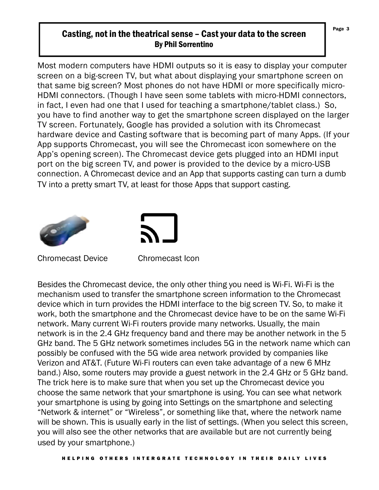### Casting, not in the theatrical sense – Cast your data to the screen By Phil Sorrentino

Most modern computers have HDMI outputs so it is easy to display your computer screen on a big-screen TV, but what about displaying your smartphone screen on that same big screen? Most phones do not have HDMI or more specifically micro-HDMI connectors. (Though I have seen some tablets with micro-HDMI connectors, in fact, I even had one that I used for teaching a smartphone/tablet class.) So, you have to find another way to get the smartphone screen displayed on the larger TV screen. Fortunately, Google has provided a solution with its Chromecast hardware device and Casting software that is becoming part of many Apps. (If your App supports Chromecast, you will see the Chromecast icon somewhere on the App's opening screen). The Chromecast device gets plugged into an HDMI input port on the big screen TV, and power is provided to the device by a micro-USB connection. A Chromecast device and an App that supports casting can turn a dumb TV into a pretty smart TV, at least for those Apps that support casting.





Chromecast Device Chromecast Icon

Besides the Chromecast device, the only other thing you need is Wi-Fi. Wi-Fi is the mechanism used to transfer the smartphone screen information to the Chromecast device which in turn provides the HDMI interface to the big screen TV. So, to make it work, both the smartphone and the Chromecast device have to be on the same Wi-Fi network. Many current Wi-Fi routers provide many networks. Usually, the main network is in the 2.4 GHz frequency band and there may be another network in the 5 GHz band. The 5 GHz network sometimes includes 5G in the network name which can possibly be confused with the 5G wide area network provided by companies like Verizon and AT&T. (Future Wi-Fi routers can even take advantage of a new 6 MHz band.) Also, some routers may provide a guest network in the 2.4 GHz or 5 GHz band. The trick here is to make sure that when you set up the Chromecast device you choose the same network that your smartphone is using. You can see what network your smartphone is using by going into Settings on the smartphone and selecting "Network & internet" or "Wireless", or something like that, where the network name will be shown. This is usually early in the list of settings. (When you select this screen, you will also see the other networks that are available but are not currently being used by your smartphone.)

Page 3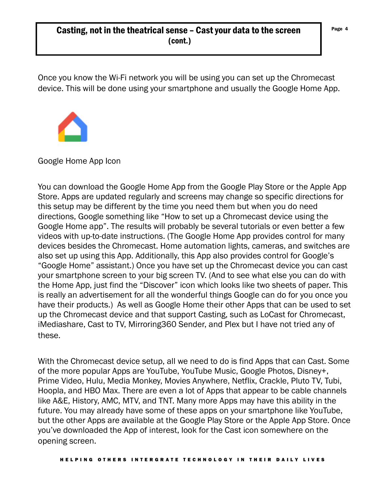## Casting, not in the theatrical sense - Cast your data to the screen  $\int P_{\text{age 4}}$ (cont.)

Once you know the Wi-Fi network you will be using you can set up the Chromecast device. This will be done using your smartphone and usually the Google Home App.



You can download the Google Home App from the Google Play Store or the Apple App Store. Apps are updated regularly and screens may change so specific directions for this setup may be different by the time you need them but when you do need directions, Google something like "How to set up a Chromecast device using the Google Home app". The results will probably be several tutorials or even better a few videos with up-to-date instructions. (The Google Home App provides control for many devices besides the Chromecast. Home automation lights, cameras, and switches are also set up using this App. Additionally, this App also provides control for Google's "Google Home" assistant.) Once you have set up the Chromecast device you can cast your smartphone screen to your big screen TV. (And to see what else you can do with the Home App, just find the "Discover" icon which looks like two sheets of paper. This is really an advertisement for all the wonderful things Google can do for you once you have their products.) As well as Google Home their other Apps that can be used to set up the Chromecast device and that support Casting, such as LoCast for Chromecast, iMediashare, Cast to TV, Mirroring360 Sender, and Plex but I have not tried any of these.

With the Chromecast device setup, all we need to do is find Apps that can Cast. Some of the more popular Apps are YouTube, YouTube Music, Google Photos, Disney+, Prime Video, Hulu, Media Monkey, Movies Anywhere, Netflix, Crackle, Pluto TV, Tubi, Hoopla, and HBO Max. There are even a lot of Apps that appear to be cable channels like A&E, History, AMC, MTV, and TNT. Many more Apps may have this ability in the future. You may already have some of these apps on your smartphone like YouTube, but the other Apps are available at the Google Play Store or the Apple App Store. Once you've downloaded the App of interest, look for the Cast icon somewhere on the opening screen.

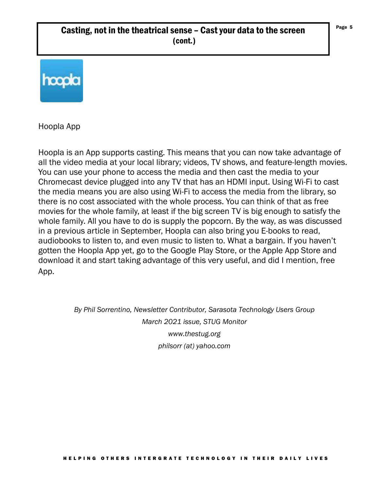## Casting, not in the theatrical sense – Cast your data to the screen  $\int P_{\text{age}}$  5 (cont.)



Hoopla App

Hoopla is an App supports casting. This means that you can now take advantage of all the video media at your local library; videos, TV shows, and feature-length movies. You can use your phone to access the media and then cast the media to your Chromecast device plugged into any TV that has an HDMI input. Using Wi-Fi to cast the media means you are also using Wi-Fi to access the media from the library, so there is no cost associated with the whole process. You can think of that as free movies for the whole family, at least if the big screen TV is big enough to satisfy the whole family. All you have to do is supply the popcorn. By the way, as was discussed in a previous article in September, Hoopla can also bring you E-books to read, audiobooks to listen to, and even music to listen to. What a bargain. If you haven't gotten the Hoopla App yet, go to the Google Play Store, or the Apple App Store and download it and start taking advantage of this very useful, and did I mention, free App.

> *By Phil Sorrentino, Newsletter Contributor, Sarasota Technology Users Group March 2021 issue, STUG Monitor www.thestug.org philsorr (at) yahoo.com*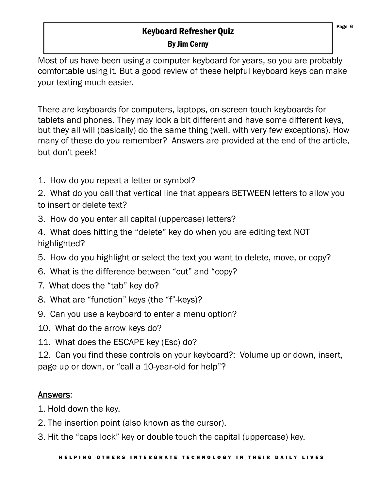## Keyboard Refresher Quiz By Jim Cerny

Most of us have been using a computer keyboard for years, so you are probably comfortable using it. But a good review of these helpful keyboard keys can make your texting much easier.

There are keyboards for computers, laptops, on-screen touch keyboards for tablets and phones. They may look a bit different and have some different keys, but they all will (basically) do the same thing (well, with very few exceptions). How many of these do you remember? Answers are provided at the end of the article, but don't peek!

1. How do you repeat a letter or symbol?

2. What do you call that vertical line that appears BETWEEN letters to allow you to insert or delete text?

- 3. How do you enter all capital (uppercase) letters?
- 4. What does hitting the "delete" key do when you are editing text NOT highlighted?
- 5. How do you highlight or select the text you want to delete, move, or copy?
- 6. What is the difference between "cut" and "copy?
- 7. What does the "tab" key do?
- 8. What are "function" keys (the "f"-keys)?
- 9. Can you use a keyboard to enter a menu option?
- 10. What do the arrow keys do?
- 11. What does the ESCAPE key (Esc) do?

12. Can you find these controls on your keyboard?: Volume up or down, insert, page up or down, or "call a 10-year-old for help"?

## Answers: Answers

- 1. Hold down the key.
- 2. The insertion point (also known as the cursor).
- 3. Hit the "caps lock" key or double touch the capital (uppercase) key.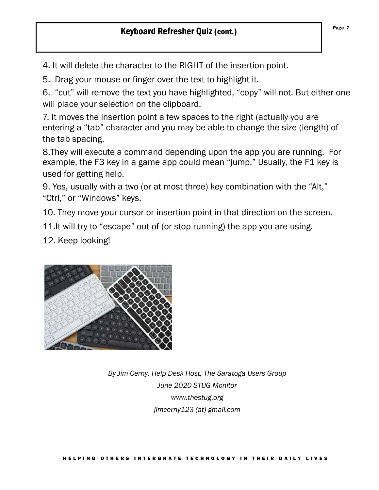Page 7

4. It will delete the character to the RIGHT of the insertion point.

5. Drag your mouse or finger over the text to highlight it.

6. "cut" will remove the text you have highlighted, "copy" will not. But either one will place your selection on the clipboard.

7. It moves the insertion point a few spaces to the right (actually you are entering a "tab" character and you may be able to change the size (length) of the tab spacing.

8.They will execute a command depending upon the app you are running. For example, the F3 key in a game app could mean "jump." Usually, the F1 key is used for getting help.

9. Yes, usually with a two (or at most three) key combination with the "Alt," "Ctrl," or "Windows" keys.

10. They move your cursor or insertion point in that direction on the screen.

11. It will try to "escape" out of (or stop running) the app you are using.

12. Keep looking!



*By Jim Cerny, Help Desk Host, The Saratoga Users Group June 2020 STUG Monitor www.thestug.org jimcerny123 (at) gmail.com*